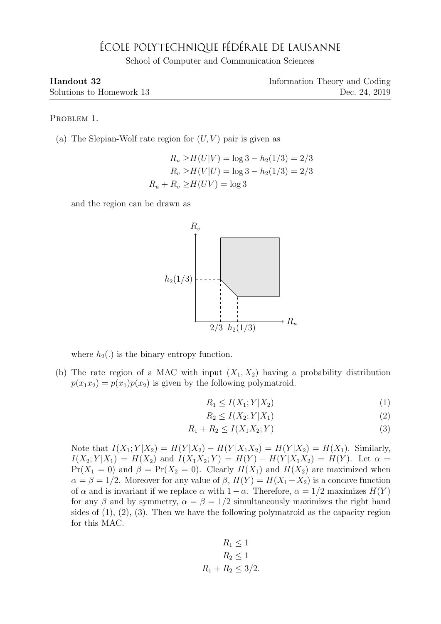## ÉCOLE POLYTECHNIQUE FÉDÉRALE DE LAUSANNE

School of Computer and Communication Sciences

| Handout 32               | Information Theory and Coding |
|--------------------------|-------------------------------|
| Solutions to Homework 13 | Dec. 24, 2019                 |

PROBLEM 1.

(a) The Slepian-Wolf rate region for  $(U, V)$  pair is given as

$$
R_u \ge H(U|V) = \log 3 - h_2(1/3) = 2/3
$$
  
\n
$$
R_v \ge H(V|U) = \log 3 - h_2(1/3) = 2/3
$$
  
\n
$$
R_u + R_v \ge H(UV) = \log 3
$$

and the region can be drawn as



where  $h_2(.)$  is the binary entropy function.

(b) The rate region of a MAC with input  $(X_1, X_2)$  having a probability distribution  $p(x_1x_2) = p(x_1)p(x_2)$  is given by the following polymatroid.

$$
R_1 \le I(X_1; Y | X_2) \tag{1}
$$

$$
R_2 \le I(X_2; Y | X_1) \tag{2}
$$

$$
R_1 + R_2 \le I(X_1 X_2; Y) \tag{3}
$$

Note that  $I(X_1; Y | X_2) = H(Y | X_2) - H(Y | X_1 X_2) = H(Y | X_2) = H(X_1)$ . Similarly,  $I(X_2; Y | X_1) = H(X_2)$  and  $I(X_1 X_2; Y) = H(Y) - H(Y | X_1 X_2) = H(Y)$ . Let  $\alpha =$  $Pr(X_1 = 0)$  and  $\beta = Pr(X_2 = 0)$ . Clearly  $H(X_1)$  and  $H(X_2)$  are maximized when  $\alpha = \beta = 1/2$ . Moreover for any value of  $\beta$ ,  $H(Y) = H(X_1 + X_2)$  is a concave function of  $\alpha$  and is invariant if we replace  $\alpha$  with  $1 - \alpha$ . Therefore,  $\alpha = 1/2$  maximizes  $H(Y)$ for any  $\beta$  and by symmetry,  $\alpha = \beta = 1/2$  simultaneously maximizes the right hand sides of (1), (2), (3). Then we have the following polymatroid as the capacity region for this MAC.

$$
R_1 \le 1
$$
  

$$
R_2 \le 1
$$
  

$$
R_1 + R_2 \le 3/2.
$$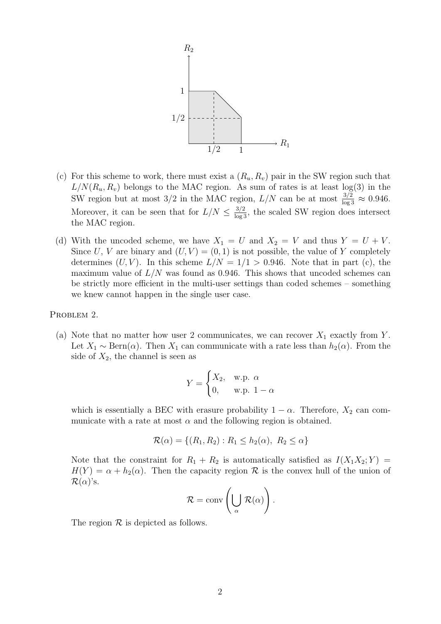

- (c) For this scheme to work, there must exist a  $(R_u, R_v)$  pair in the SW region such that  $L/N(R_u, R_v)$  belongs to the MAC region. As sum of rates is at least  $log(3)$  in the SW region but at most 3/2 in the MAC region,  $L/N$  can be at most  $\frac{3/2}{\log 3} \approx 0.946$ . Moreover, it can be seen that for  $L/N \leq \frac{3/2}{\log 3}$ , the scaled SW region does intersect the MAC region.
- (d) With the uncoded scheme, we have  $X_1 = U$  and  $X_2 = V$  and thus  $Y = U + V$ . Since U, V are binary and  $(U, V) = (0, 1)$  is not possible, the value of Y completely determines  $(U, V)$ . In this scheme  $L/N = 1/1 > 0.946$ . Note that in part (c), the maximum value of  $L/N$  was found as 0.946. This shows that uncoded schemes can be strictly more efficient in the multi-user settings than coded schemes – something we knew cannot happen in the single user case.

PROBLEM 2.

(a) Note that no matter how user 2 communicates, we can recover  $X_1$  exactly from Y. Let  $X_1 \sim \text{Bern}(\alpha)$ . Then  $X_1$  can communicate with a rate less than  $h_2(\alpha)$ . From the side of  $X_2$ , the channel is seen as

$$
Y = \begin{cases} X_2, & \text{w.p. } \alpha \\ 0, & \text{w.p. } 1 - \alpha \end{cases}
$$

which is essentially a BEC with erasure probability  $1 - \alpha$ . Therefore,  $X_2$  can communicate with a rate at most  $\alpha$  and the following region is obtained.

$$
\mathcal{R}(\alpha) = \{ (R_1, R_2) : R_1 \le h_2(\alpha), R_2 \le \alpha \}
$$

Note that the constraint for  $R_1 + R_2$  is automatically satisfied as  $I(X_1X_2; Y) =$  $H(Y) = \alpha + h_2(\alpha)$ . Then the capacity region R is the convex hull of the union of  $\mathcal{R}(\alpha)$ 's.

$$
\mathcal{R} = \text{conv}\left(\bigcup_{\alpha} \mathcal{R}(\alpha)\right).
$$

The region  $\mathcal R$  is depicted as follows.